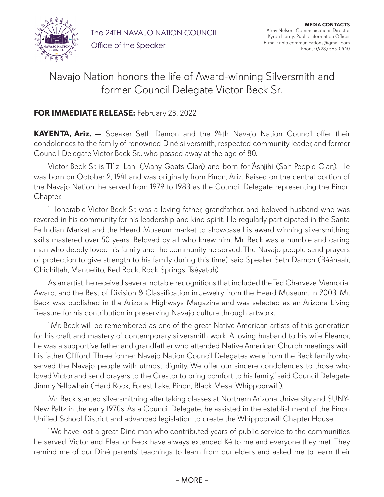

The 24TH NAVAJO NATION COUNCIL Office of the Speaker

**MEDIA CONTACTS** Alray Nelson, Communications Director Kyron Hardy, Public Information Officer E-mail: nnlb.communications@gmail.com Phone: (928) 565-0440

## Navajo Nation honors the life of Award-winning Silversmith and former Council Delegate Victor Beck Sr.

## **FOR IMMEDIATE RELEASE:** February 23, 2022

**KAYENTA, Ariz. —** Speaker Seth Damon and the 24th Navajo Nation Council offer their condolences to the family of renowned Diné silversmith, respected community leader, and former Council Delegate Victor Beck Sr., who passed away at the age of 80.

Victor Beck Sr. is Tl'izi Lani (Many Goats Clan) and born for 'Áshįįhi (Salt People Clan). He was born on October 2, 1941 and was originally from Pinon, Ariz. Raised on the central portion of the Navajo Nation, he served from 1979 to 1983 as the Council Delegate representing the Pinon Chapter.

"Honorable Victor Beck Sr. was a loving father, grandfather, and beloved husband who was revered in his community for his leadership and kind spirit. He regularly participated in the Santa Fe Indian Market and the Heard Museum market to showcase his award winning silversmithing skills mastered over 50 years. Beloved by all who knew him, Mr. Beck was a humble and caring man who deeply loved his family and the community he served. The Navajo people send prayers of protection to give strength to his family during this time," said Speaker Seth Damon (Bááhaalí, Chichiltah, Manuelito, Red Rock, Rock Springs, Tséyatoh).

As an artist, he received several notable recognitions that included the Ted Charveze Memorial Award, and the Best of Division & Classification in Jewelry from the Heard Museum. In 2003, Mr. Beck was published in the Arizona Highways Magazine and was selected as an Arizona Living Treasure for his contribution in preserving Navajo culture through artwork.

"Mr. Beck will be remembered as one of the great Native American artists of this generation for his craft and mastery of contemporary silversmith work. A loving husband to his wife Eleanor, he was a supportive father and grandfather who attended Native American Church meetings with his father Clifford. Three former Navajo Nation Council Delegates were from the Beck family who served the Navajo people with utmost dignity. We offer our sincere condolences to those who loved Victor and send prayers to the Creator to bring comfort to his family," said Council Delegate Jimmy Yellowhair (Hard Rock, Forest Lake, Pinon, Black Mesa, Whippoorwill).

Mr. Beck started silversmithing after taking classes at Northern Arizona University and SUNY-New Paltz in the early 1970s. As a Council Delegate, he assisted in the establishment of the Piñon Unified School District and advanced legislation to create the Whippoorwill Chapter House.

"We have lost a great Diné man who contributed years of public service to the communities he served. Victor and Eleanor Beck have always extended Ké to me and everyone they met. They remind me of our Diné parents' teachings to learn from our elders and asked me to learn their